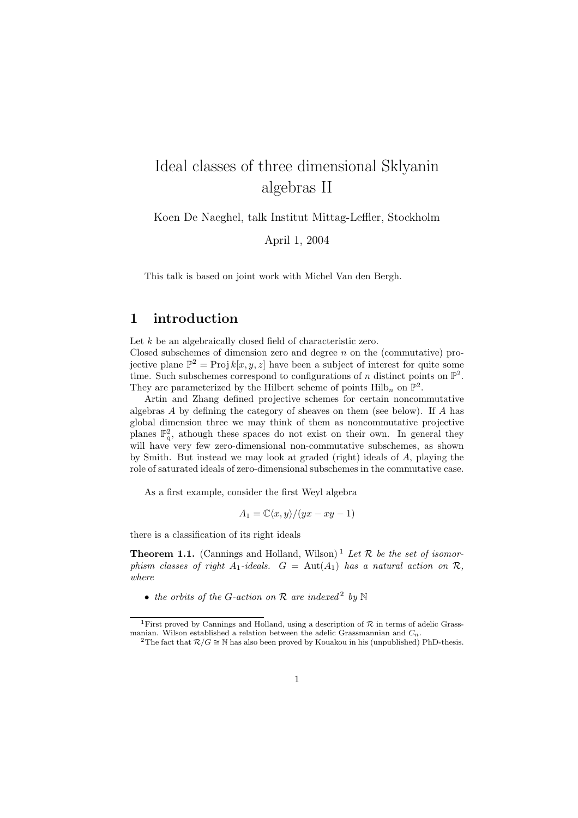# Ideal classes of three dimensional Sklyanin algebras II

Koen De Naeghel, talk Institut Mittag-Leffler, Stockholm

April 1, 2004

This talk is based on joint work with Michel Van den Bergh.

### 1 introduction

Let k be an algebraically closed field of characteristic zero. Closed subschemes of dimension zero and degree  $n$  on the (commutative) projective plane  $\mathbb{P}^2 = \text{Proj } k[x, y, z]$  have been a subject of interest for quite some time. Such subschemes correspond to configurations of n distinct points on  $\mathbb{P}^2$ . They are parameterized by the Hilbert scheme of points  $\text{Hilb}_n$  on  $\mathbb{P}^2$ .

Artin and Zhang defined projective schemes for certain noncommutative algebras A by defining the category of sheaves on them (see below). If A has global dimension three we may think of them as noncommutative projective planes  $\mathbb{P}^2$ , athough these spaces do not exist on their own. In general they will have very few zero-dimensional non-commutative subschemes, as shown by Smith. But instead we may look at graded (right) ideals of A, playing the role of saturated ideals of zero-dimensional subschemes in the commutative case.

As a first example, consider the first Weyl algebra

$$
A_1 = \mathbb{C}\langle x, y \rangle / (yx - xy - 1)
$$

there is a classification of its right ideals

**Theorem 1.1.** (Cannings and Holland, Wilson)<sup>1</sup> Let  $\mathcal{R}$  be the set of isomorphism classes of right  $A_1$ -ideals.  $G = \text{Aut}(A_1)$  has a natural action on  $\mathcal{R}$ , where

• the orbits of the G-action on  $\mathcal R$  are indexed<sup>2</sup> by  $\mathbb N$ 

<sup>&</sup>lt;sup>1</sup>First proved by Cannings and Holland, using a description of  $R$  in terms of adelic Grassmanian. Wilson established a relation between the adelic Grassmannian and  $C_n$ .

<sup>&</sup>lt;sup>2</sup>The fact that  $\mathcal{R}/G \cong \mathbb{N}$  has also been proved by Kouakou in his (unpublished) PhD-thesis.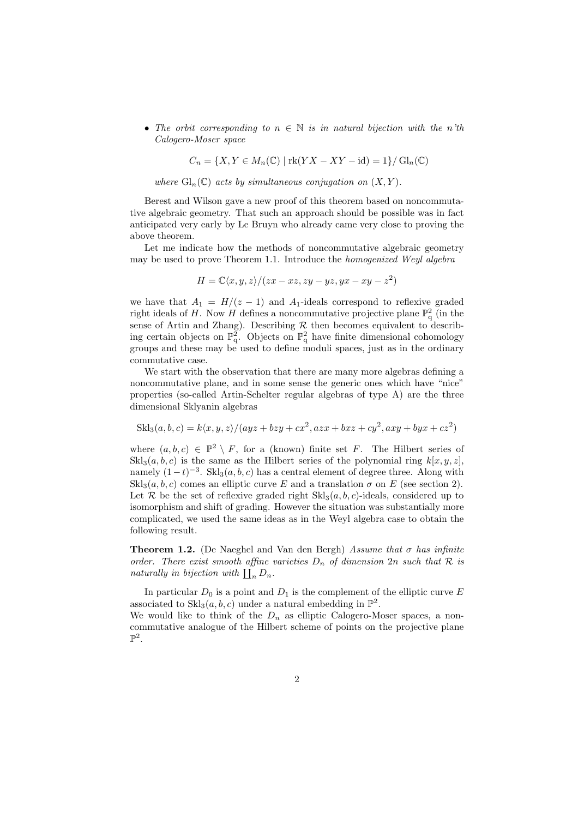• The orbit corresponding to  $n \in \mathbb{N}$  is in natural bijection with the n'th Calogero-Moser space

 $C_n = \{X, Y \in M_n(\mathbb{C}) \mid \text{rk}(YX - XY - \text{id}) = 1\} / \text{Gl}_n(\mathbb{C})$ 

where  $\mathrm{Gl}_n(\mathbb{C})$  acts by simultaneous conjugation on  $(X, Y)$ .

Berest and Wilson gave a new proof of this theorem based on noncommutative algebraic geometry. That such an approach should be possible was in fact anticipated very early by Le Bruyn who already came very close to proving the above theorem.

Let me indicate how the methods of noncommutative algebraic geometry may be used to prove Theorem 1.1. Introduce the homogenized Weyl algebra

$$
H = \mathbb{C}\langle x, y, z \rangle / (zx - xz, zy - yz, yx - xy - z^2)
$$

we have that  $A_1 = H/(z - 1)$  and  $A_1$ -ideals correspond to reflexive graded right ideals of H. Now H defines a noncommutative projective plane  $\mathbb{P}^2_q$  (in the sense of Artin and Zhang). Describing  $R$  then becomes equivalent to describing certain objects on  $\mathbb{P}^2_q$ . Objects on  $\mathbb{P}^2_q$  have finite dimensional cohomology groups and these may be used to define moduli spaces, just as in the ordinary commutative case.

We start with the observation that there are many more algebras defining a noncommutative plane, and in some sense the generic ones which have "nice" properties (so-called Artin-Schelter regular algebras of type A) are the three dimensional Sklyanin algebras

$$
Skl3(a, b, c) = k\langle x, y, z \rangle/(ayz + bzy + cx2, azx + bxz + cy2, axy + byx + cz2)
$$

where  $(a, b, c) \in \mathbb{P}^2 \setminus F$ , for a (known) finite set F. The Hilbert series of  $\text{Skl}_3(a, b, c)$  is the same as the Hilbert series of the polynomial ring  $k[x, y, z]$ , namely  $(1-t)^{-3}$ . Skl<sub>3</sub> $(a, b, c)$  has a central element of degree three. Along with  $Skl<sub>3</sub>(a, b, c)$  comes an elliptic curve E and a translation  $\sigma$  on E (see section 2). Let R be the set of reflexive graded right  $Skl_3(a, b, c)$ -ideals, considered up to isomorphism and shift of grading. However the situation was substantially more complicated, we used the same ideas as in the Weyl algebra case to obtain the following result.

**Theorem 1.2.** (De Naeghel and Van den Bergh) Assume that  $\sigma$  has infinite order. There exist smooth affine varieties  $D_n$  of dimension  $2n$  such that  $R$  is naturally in bijection with  $\prod_n D_n$ .

In particular  $D_0$  is a point and  $D_1$  is the complement of the elliptic curve E associated to  $\text{Skl}_3(a, b, c)$  under a natural embedding in  $\mathbb{P}^2$ . We would like to think of the  $D_n$  as elliptic Calogero-Moser spaces, a non-

commutative analogue of the Hilbert scheme of points on the projective plane  $\mathbb{P}^2$ .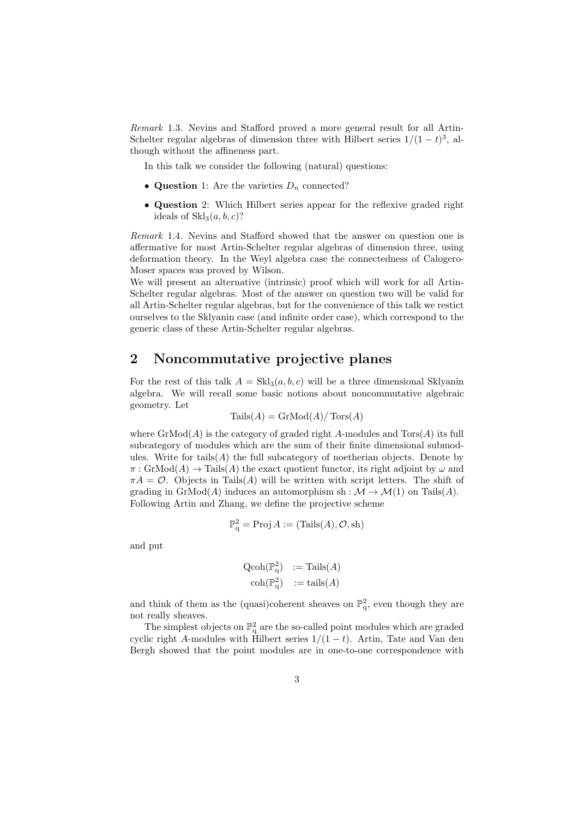Remark 1.3. Nevins and Stafford proved a more general result for all Artin-Schelter regular algebras of dimension three with Hilbert series  $1/(1-t)^3$ , although without the affineness part.

In this talk we consider the following (natural) questions:

- Question 1: Are the varieties  $D_n$  connected?
- Question 2: Which Hilbert series appear for the reflexive graded right ideals of  $Skl<sub>3</sub>(a, b, c)?$

Remark 1.4. Nevins and Stafford showed that the answer on question one is affermative for most Artin-Schelter regular algebras of dimension three, using deformation theory. In the Weyl algebra case the connectedness of Calogero-Moser spaces was proved by Wilson.

We will present an alternative (intrinsic) proof which will work for all Artin-Schelter regular algebras. Most of the answer on question two will be valid for all Artin-Schelter regular algebras, but for the convenience of this talk we restict ourselves to the Sklyanin case (and infinite order case), which correspond to the generic class of these Artin-Schelter regular algebras.

## 2 Noncommutative projective planes

For the rest of this talk  $A = Skl_3(a, b, c)$  will be a three dimensional Sklyanin algebra. We will recall some basic notions about noncommutative algebraic geometry. Let

$$
Tails(A) = GrMod(A) / Tors(A)
$$

where  $\text{GrMod}(A)$  is the category of graded right A-modules and  $\text{Tors}(A)$  its full subcategory of modules which are the sum of their finite dimensional submodules. Write for tails(A) the full subcategory of noetherian objects. Denote by  $\pi: \text{GrMod}(A) \to \text{Tails}(A)$  the exact quotient functor, its right adjoint by  $\omega$  and  $\pi A = \mathcal{O}$ . Objects in Tails(A) will be written with script letters. The shift of grading in  $\mathrm{GrMod}(A)$  induces an automorphism sh :  $\mathcal{M} \to \mathcal{M}(1)$  on Tails(A). Following Artin and Zhang, we define the projective scheme

$$
\mathbb{P}^2_q = \text{Proj}\, A := (\text{Tails}(A), \mathcal{O}, \text{sh})
$$

and put

$$
\begin{array}{ll}\n\text{Qcoh}(\mathbb{P}_q^2) & := \text{Tails}(A) \\
\text{coh}(\mathbb{P}_q^2) & := \text{tails}(A)\n\end{array}
$$

and think of them as the (quasi)coherent sheaves on  $\mathbb{P}^2_q$ , even though they are not really sheaves.

The simplest objects on  $\mathbb{P}^2_q$  are the so-called point modules which are graded cyclic right A-modules with Hilbert series  $1/(1-t)$ . Artin, Tate and Van den Bergh showed that the point modules are in one-to-one correspondence with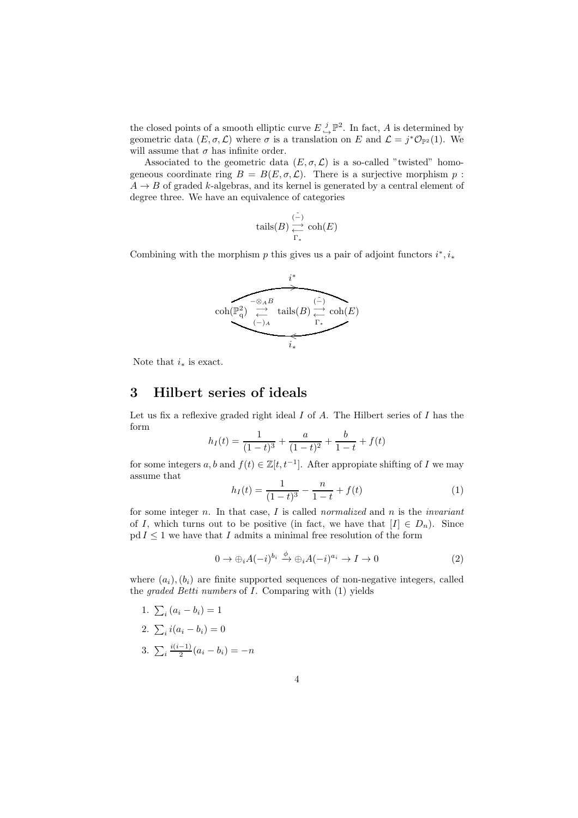the closed points of a smooth elliptic curve  $E \overset{j}{\hookrightarrow} \mathbb{P}^2$ . In fact, A is determined by geometric data  $(E, \sigma, \mathcal{L})$  where  $\sigma$  is a translation on E and  $\mathcal{L} = j^* \mathcal{O}_{\mathbb{P}^2}(1)$ . We will assume that  $\sigma$  has infinite order.

Associated to the geometric data  $(E, \sigma, \mathcal{L})$  is a so-called "twisted" homogeneous coordinate ring  $B = B(E, \sigma, \mathcal{L})$ . There is a surjective morphism p:  $A \rightarrow B$  of graded k-algebras, and its kernel is generated by a central element of degree three. We have an equivalence of categories

$$
\mathrm{tails}(B)\overset{(\tilde{-})}{\underset{\Gamma_*}{\longleftarrow}}\mathrm{coh}(E)
$$

Combining with the morphism  $p$  this gives us a pair of adjoint functors  $i^*, i_*$ 



Note that  $i_*$  is exact.

#### 3 Hilbert series of ideals

Let us fix a reflexive graded right ideal  $I$  of  $A$ . The Hilbert series of  $I$  has the form

$$
h_I(t) = \frac{1}{(1-t)^3} + \frac{a}{(1-t)^2} + \frac{b}{1-t} + f(t)
$$

for some integers a, b and  $f(t) \in \mathbb{Z}[t, t^{-1}]$ . After appropiate shifting of I we may assume that

$$
h_I(t) = \frac{1}{(1-t)^3} - \frac{n}{1-t} + f(t)
$$
\n(1)

for some integer n. In that case,  $I$  is called normalized and  $n$  is the *invariant* of I, which turns out to be positive (in fact, we have that  $[I] \in D_n$ ). Since  $pd I \leq 1$  we have that I admits a minimal free resolution of the form

$$
0 \to \bigoplus_i A(-i)^{b_i} \xrightarrow{\phi} \bigoplus_i A(-i)^{a_i} \to I \to 0 \tag{2}
$$

where  $(a_i)$ ,  $(b_i)$  are finite supported sequences of non-negative integers, called the graded Betti numbers of I. Comparing with (1) yields

1. 
$$
\sum_i (a_i - b_i) = 1
$$

$$
2. \sum_{i} i(a_i - b_i) = 0
$$

3. 
$$
\sum_{i} \frac{i(i-1)}{2} (a_i - b_i) = -n
$$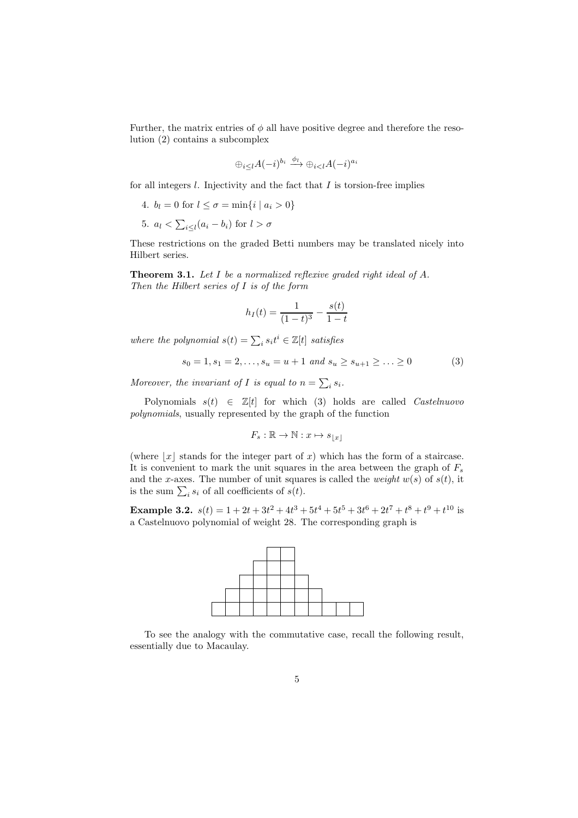Further, the matrix entries of  $\phi$  all have positive degree and therefore the resolution (2) contains a subcomplex

$$
\oplus_{i\leq l}A(-i)^{b_i}\xrightarrow{\phi_l}\oplus_{i
$$

for all integers  $l$ . Injectivity and the fact that  $I$  is torsion-free implies

- 4.  $b_l = 0$  for  $l \leq \sigma = \min\{i \mid a_i > 0\}$
- 5.  $a_l < \sum_{i \leq l} (a_i b_i)$  for  $l > \sigma$

These restrictions on the graded Betti numbers may be translated nicely into Hilbert series.

Theorem 3.1. Let I be a normalized reflexive graded right ideal of A. Then the Hilbert series of I is of the form

$$
h_I(t) = \frac{1}{(1-t)^3} - \frac{s(t)}{1-t}
$$

where the polynomial  $s(t) = \sum_i s_i t^i \in \mathbb{Z}[t]$  satisfies

$$
s_0 = 1, s_1 = 2, \dots, s_u = u + 1 \text{ and } s_u \ge s_{u+1} \ge \dots \ge 0 \tag{3}
$$

Moreover, the invariant of I is equal to  $n = \sum_i s_i$ .

Polynomials  $s(t) \in \mathbb{Z}[t]$  for which (3) holds are called *Castelnuovo* polynomials, usually represented by the graph of the function

$$
F_s : \mathbb{R} \to \mathbb{N} : x \mapsto s_{\lfloor x \rfloor}
$$

(where  $|x|$  stands for the integer part of x) which has the form of a staircase. It is convenient to mark the unit squares in the area between the graph of  $F_s$ and the x-axes. The number of unit squares is called the *weight*  $w(s)$  of  $s(t)$ , it is the sum  $\sum_i s_i$  of all coefficients of  $s(t)$ .

**Example 3.2.**  $s(t) = 1 + 2t + 3t^2 + 4t^3 + 5t^4 + 5t^5 + 3t^6 + 2t^7 + t^8 + t^9 + t^{10}$  is a Castelnuovo polynomial of weight 28. The corresponding graph is



To see the analogy with the commutative case, recall the following result, essentially due to Macaulay.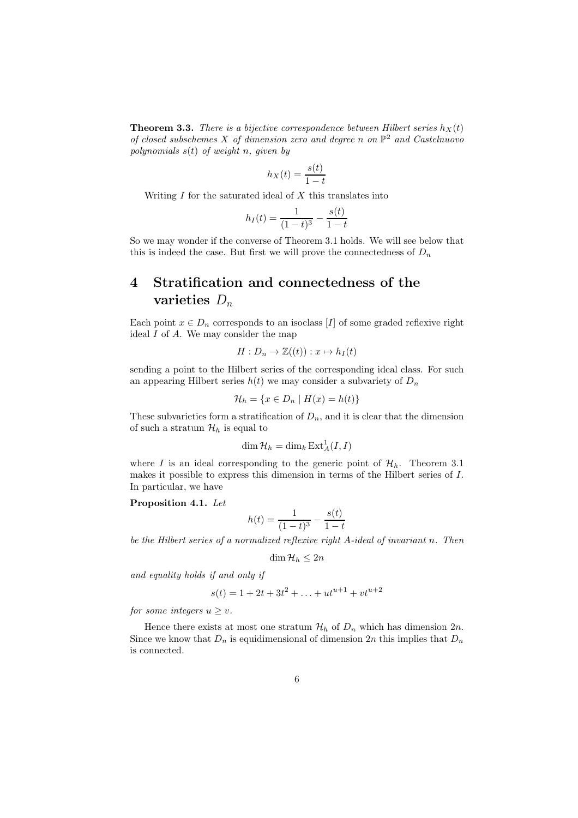**Theorem 3.3.** There is a bijective correspondence between Hilbert series  $h_X(t)$ of closed subschemes X of dimension zero and degree n on  $\mathbb{P}^2$  and Castelnuovo polynomials  $s(t)$  of weight n, given by

$$
h_X(t) = \frac{s(t)}{1 - t}
$$

Writing  $I$  for the saturated ideal of  $X$  this translates into

$$
h_I(t) = \frac{1}{(1-t)^3} - \frac{s(t)}{1-t}
$$

So we may wonder if the converse of Theorem 3.1 holds. We will see below that this is indeed the case. But first we will prove the connectedness of  $D_n$ 

# 4 Stratification and connectedness of the varieties  $D_n$

Each point  $x \in D_n$  corresponds to an isoclass [I] of some graded reflexive right ideal  $I$  of  $A$ . We may consider the map

$$
H: D_n \to \mathbb{Z}((t)): x \mapsto h_I(t)
$$

sending a point to the Hilbert series of the corresponding ideal class. For such an appearing Hilbert series  $h(t)$  we may consider a subvariety of  $D_n$ 

$$
\mathcal{H}_h = \{ x \in D_n \mid H(x) = h(t) \}
$$

These subvarieties form a stratification of  $D_n$ , and it is clear that the dimension of such a stratum  $\mathcal{H}_h$  is equal to

$$
\dim \mathcal{H}_h = \dim_k \operatorname{Ext}_A^1(I, I)
$$

where I is an ideal corresponding to the generic point of  $\mathcal{H}_h$ . Theorem 3.1 makes it possible to express this dimension in terms of the Hilbert series of I. In particular, we have

Proposition 4.1. Let

$$
h(t) = \frac{1}{(1-t)^3} - \frac{s(t)}{1-t}
$$

be the Hilbert series of a normalized reflexive right A-ideal of invariant n. Then

$$
\dim \mathcal{H}_h \leq 2n
$$

and equality holds if and only if

$$
s(t) = 1 + 2t + 3t^2 + \ldots + ut^{u+1} + vt^{u+2}
$$

for some integers  $u \geq v$ .

Hence there exists at most one stratum  $\mathcal{H}_h$  of  $D_n$  which has dimension  $2n$ . Since we know that  $D_n$  is equidimensional of dimension  $2n$  this implies that  $D_n$ is connected.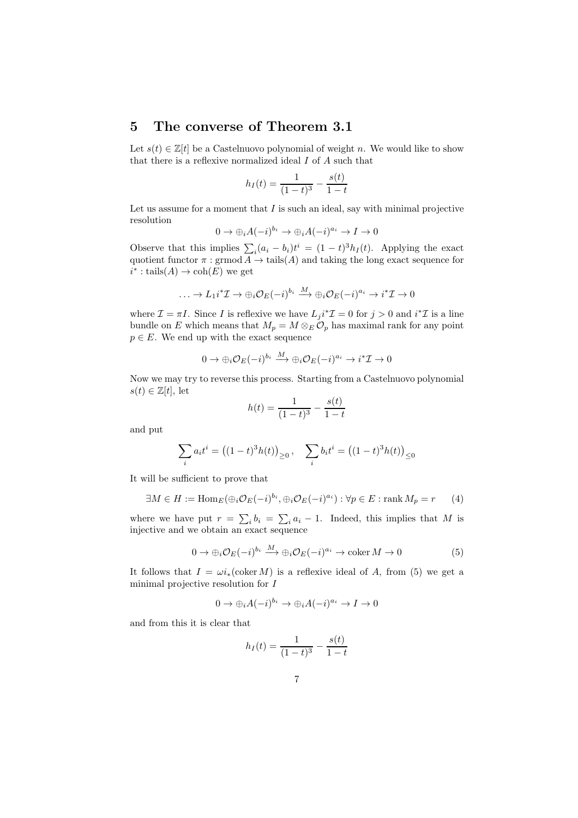## 5 The converse of Theorem 3.1

Let  $s(t) \in \mathbb{Z}[t]$  be a Castelnuovo polynomial of weight n. We would like to show that there is a reflexive normalized ideal I of A such that

$$
h_I(t) = \frac{1}{(1-t)^3} - \frac{s(t)}{1-t}
$$

Let us assume for a moment that  $I$  is such an ideal, say with minimal projective resolution

$$
0 \to \bigoplus_i A(-i)^{b_i} \to \bigoplus_i A(-i)^{a_i} \to I \to 0
$$

Observe that this implies  $\sum_i (a_i - b_i)t^i = (1 - t)^3 h_I(t)$ . Applying the exact quotient functor  $\pi : \mathrm{grmod} A \to \mathrm{tails}(A)$  and taking the long exact sequence for  $i^* : \text{tails}(A) \to \text{coh}(E)$  we get

$$
\ldots \to L_1 i^* \mathcal{I} \to \bigoplus_i \mathcal{O}_E(-i)^{b_i} \stackrel{M}{\longrightarrow} \bigoplus_i \mathcal{O}_E(-i)^{a_i} \to i^* \mathcal{I} \to 0
$$

where  $\mathcal{I} = \pi I$ . Since I is reflexive we have  $L_j i^* \mathcal{I} = 0$  for  $j > 0$  and  $i^* \mathcal{I}$  is a line bundle on E which means that  $M_p = M \otimes_E \mathcal{O}_p$  has maximal rank for any point  $p \in E$ . We end up with the exact sequence

$$
0 \to \bigoplus_i \mathcal{O}_E(-i)^{b_i} \xrightarrow{M} \bigoplus_i \mathcal{O}_E(-i)^{a_i} \to i^* \mathcal{I} \to 0
$$

Now we may try to reverse this process. Starting from a Castelnuovo polynomial  $s(t) \in \mathbb{Z}[t]$ , let

$$
h(t) = \frac{1}{(1-t)^3} - \frac{s(t)}{1-t}
$$

and put

$$
\sum_{i} a_i t^i = ((1-t)^3 h(t))_{\geq 0}, \quad \sum_{i} b_i t^i = ((1-t)^3 h(t))_{\leq 0}
$$

It will be sufficient to prove that

$$
\exists M \in H := \text{Hom}_E(\bigoplus_i \mathcal{O}_E(-i)^{b_i}, \bigoplus_i \mathcal{O}_E(-i)^{a_i}) : \forall p \in E : \text{rank } M_p = r \qquad (4)
$$

where we have put  $r = \sum_i b_i = \sum_i a_i - 1$ . Indeed, this implies that M is injective and we obtain an exact sequence

$$
0 \to \bigoplus_i \mathcal{O}_E(-i)^{b_i} \xrightarrow{M} \bigoplus_i \mathcal{O}_E(-i)^{a_i} \to \text{coker } M \to 0 \tag{5}
$$

It follows that  $I = \omega i_*(\text{coker }M)$  is a reflexive ideal of A, from (5) we get a minimal projective resolution for I

$$
0 \to \bigoplus_i A(-i)^{b_i} \to \bigoplus_i A(-i)^{a_i} \to I \to 0
$$

and from this it is clear that

$$
h_I(t) = \frac{1}{(1-t)^3} - \frac{s(t)}{1-t}
$$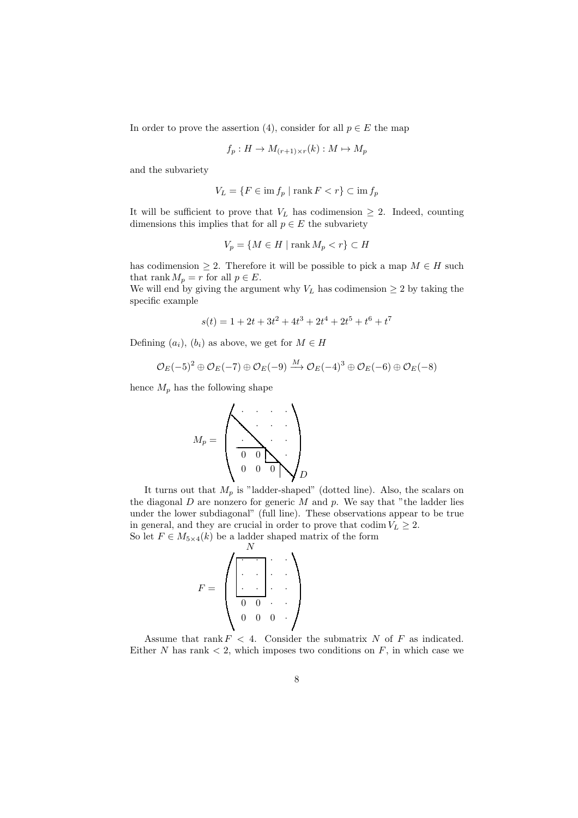In order to prove the assertion (4), consider for all  $p \in E$  the map

$$
f_p: H \to M_{(r+1)\times r}(k): M \mapsto M_p
$$

and the subvariety

$$
V_L = \{ F \in \text{im} f_p \mid \text{rank} F < r \} \subset \text{im} f_p
$$

It will be sufficient to prove that  $V_L$  has codimension  $\geq 2$ . Indeed, counting dimensions this implies that for all  $p \in E$  the subvariety

$$
V_p = \{ M \in H \mid \text{rank } M_p < r \} \subset H
$$

has codimension  $\geq 2$ . Therefore it will be possible to pick a map  $M \in H$  such that rank  $M_p = r$  for all  $p \in E$ .

We will end by giving the argument why  $V_L$  has codimension  $\geq 2$  by taking the specific example

$$
s(t) = 1 + 2t + 3t^2 + 4t^3 + 2t^4 + 2t^5 + t^6 + t^7
$$

Defining  $(a_i)$ ,  $(b_i)$  as above, we get for  $M \in H$ 

$$
\mathcal{O}_E(-5)^2 \oplus \mathcal{O}_E(-7) \oplus \mathcal{O}_E(-9) \xrightarrow{M} \mathcal{O}_E(-4)^3 \oplus \mathcal{O}_E(-6) \oplus \mathcal{O}_E(-8)
$$

hence  $M_p$  has the following shape

$$
M_p = \left(\begin{array}{cccccc} \cdot & \cdot & \cdot & \cdot & \cdot \\ \cdot & \cdot & \cdot & \cdot & \cdot \\ \hline \cdot & \cdot & \cdot & \cdot & \cdot \\ \hline 0 & 0 & \cdot & \cdot & \cdot \\ 0 & 0 & 0 & \cdot & \cdot & \cdot \end{array}\right)_D
$$

It turns out that  $M_p$  is "ladder-shaped" (dotted line). Also, the scalars on the diagonal  $D$  are nonzero for generic  $M$  and  $p$ . We say that "the ladder lies under the lower subdiagonal" (full line). These observations appear to be true in general, and they are crucial in order to prove that codim  $V_L \geq 2$ . So let  $F \in M_{5\times 4}(k)$  be a ladder shaped matrix of the form

$$
F = \left( \begin{array}{ccc} & & & & & \\ \hline \cdot & & & & & \\ \hline \cdot & & & & & \\ \hline \cdot & & & & & \\ \hline 0 & 0 & & & & \\ 0 & 0 & 0 & & & \end{array} \right)
$$

Assume that rank  $F < 4$ . Consider the submatrix N of F as indicated. Either N has rank  $\lt 2$ , which imposes two conditions on F, in which case we